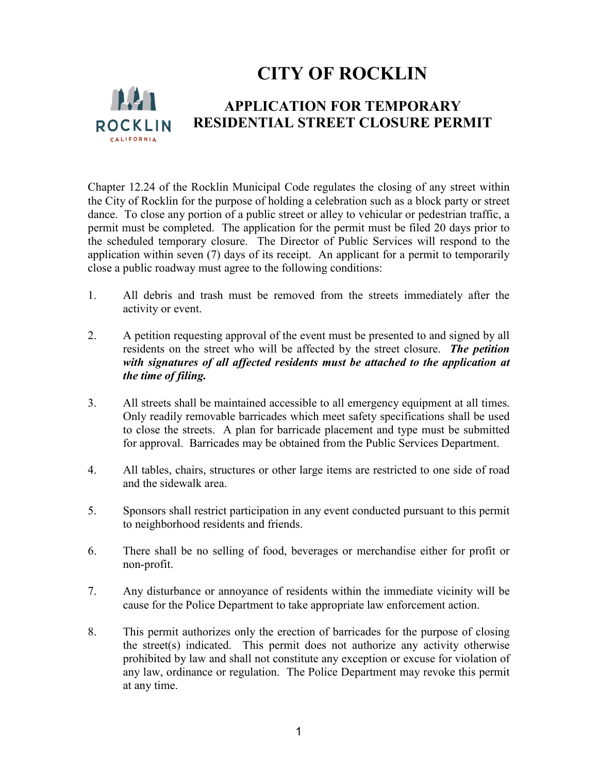# **CITY OF ROCKLIN**



#### **APPLICATION FOR TEMPORARY RESIDENTIAL STREET CLOSURE PERMIT**

Chapter 12.24 of the Rocklin Municipal Code regulates the closing of any street within the City of Rocklin for the purpose of holding a celebration such as a block party or street dance. To close any portion of a public street or alley to vehicular or pedestrian traffic, a permit must be completed. The application for the permit must be filed 20 days prior to the scheduled temporary closure. The Director of Public Services will respond to the application within seven (7) days of its receipt. An applicant for a permit to temporarily close a public roadway must agree to the following conditions:

- 1. All debris and trash must be removed from the streets immediately after the activity or event.
- 2. A petition requesting approval of the event must be presented to and signed by all residents on the street who will be affected by the street closure. *The petition with signatures of all affected residents must be attached to the application at the time of filing.*
- 3. All streets shall be maintained accessible to all emergency equipment at all times. Only readily removable barricades which meet safety specifications shall be used to close the streets. A plan for barricade placement and type must be submitted for approval. Barricades may be obtained from the Public Services Department.
- 4. All tables, chairs, structures or other large items are restricted to one side of road and the sidewalk area.
- 5. Sponsors shall restrict participation in any event conducted pursuant to this permit to neighborhood residents and friends.
- 6. There shall be no selling of food, beverages or merchandise either for profit or non-profit.
- 7. Any disturbance or annoyance of residents within the immediate vicinity will be cause for the Police Department to take appropriate law enforcement action.
- 8. This permit authorizes only the erection of barricades for the purpose of closing the street(s) indicated. This permit does not authorize any activity otherwise prohibited by law and shall not constitute any exception or excuse for violation of any law, ordinance or regulation. The Police Department may revoke this permit at any time.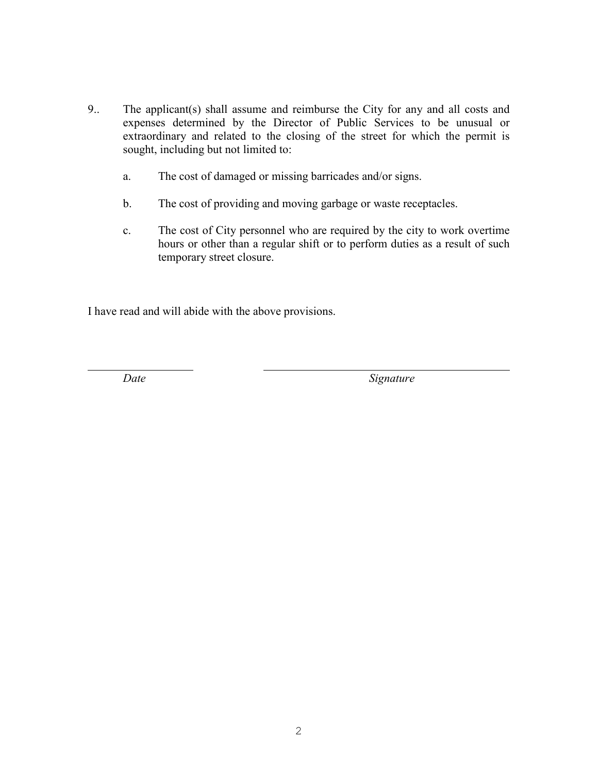- 9.. The applicant(s) shall assume and reimburse the City for any and all costs and expenses determined by the Director of Public Services to be unusual or extraordinary and related to the closing of the street for which the permit is sought, including but not limited to:
	- a. The cost of damaged or missing barricades and/or signs.
	- b. The cost of providing and moving garbage or waste receptacles.
	- c. The cost of City personnel who are required by the city to work overtime hours or other than a regular shift or to perform duties as a result of such temporary street closure.

I have read and will abide with the above provisions.

 $\overline{a}$ 

*Date Signature*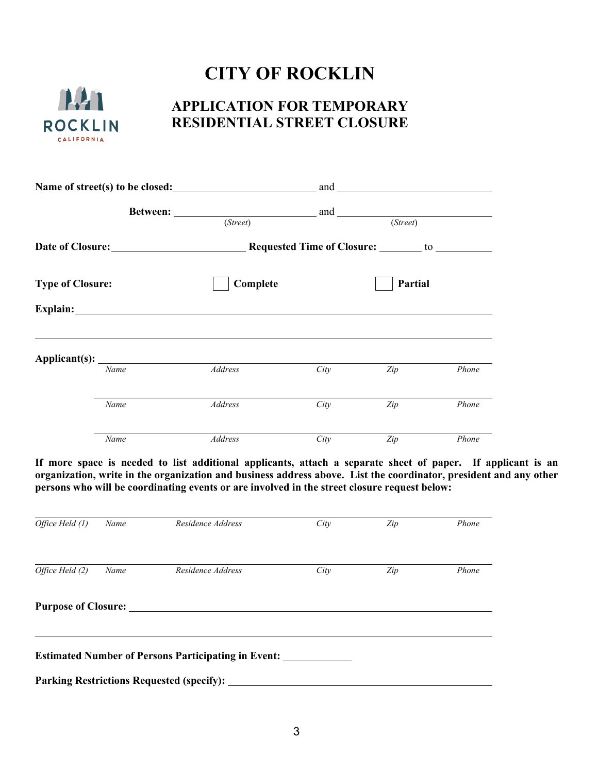# **CITY OF ROCKLIN**



### **APPLICATION FOR TEMPORARY RESIDENTIAL STREET CLOSURE**

| Name of street(s) to be closed: |      |                                                                                                                    |      |         |       |
|---------------------------------|------|--------------------------------------------------------------------------------------------------------------------|------|---------|-------|
|                                 |      | <b>Between:</b> and and and and and and and and service $\alpha$ and $\alpha$<br>(Street)<br>$\overline{(Street)}$ |      |         |       |
| <b>Type of Closure:</b>         |      |                                                                                                                    |      |         |       |
|                                 |      | Complete                                                                                                           |      | Partial |       |
|                                 |      | Explain: <u>Explaintenent</u>                                                                                      |      |         |       |
|                                 | Name | Address                                                                                                            | City | Zip     | Phone |
|                                 | Name | Address                                                                                                            | City | Zip     | Phone |
|                                 | Name | Address                                                                                                            | City | Zip     | Phone |

**If more space is needed to list additional applicants, attach a separate sheet of paper. If applicant is an organization, write in the organization and business address above. List the coordinator, president and any other persons who will be coordinating events or are involved in the street closure request below:**

| Office Held (1)            | Name | Residence Address                                          | City | Zip | Phone |
|----------------------------|------|------------------------------------------------------------|------|-----|-------|
| Office Held (2)            | Name | Residence Address                                          | City | Zip | Phone |
| <b>Purpose of Closure:</b> |      |                                                            |      |     |       |
|                            |      | <b>Estimated Number of Persons Participating in Event:</b> |      |     |       |
|                            |      | <b>Parking Restrictions Requested (specify):</b>           |      |     |       |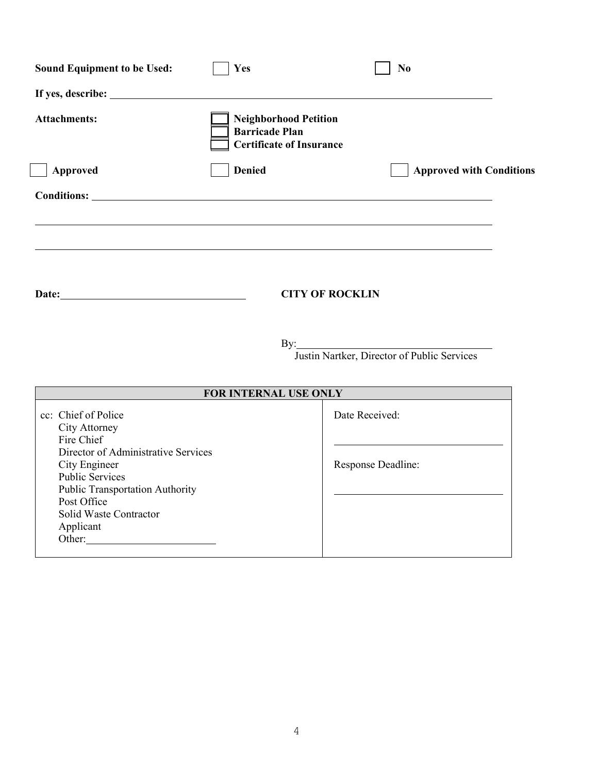| <b>Sound Equipment to be Used:</b>                                                                                               | Yes                                                                                      | N <sub>o</sub>                                  |
|----------------------------------------------------------------------------------------------------------------------------------|------------------------------------------------------------------------------------------|-------------------------------------------------|
|                                                                                                                                  |                                                                                          |                                                 |
| <b>Attachments:</b>                                                                                                              | <b>Neighborhood Petition</b><br><b>Barricade Plan</b><br><b>Certificate of Insurance</b> |                                                 |
| Approved                                                                                                                         | <b>Denied</b>                                                                            | <b>Approved with Conditions</b>                 |
|                                                                                                                                  |                                                                                          |                                                 |
|                                                                                                                                  |                                                                                          |                                                 |
| Date: <u>Date:</u>                                                                                                               |                                                                                          | <b>CITY OF ROCKLIN</b>                          |
|                                                                                                                                  |                                                                                          | By: Justin Nartker, Director of Public Services |
|                                                                                                                                  | FOR INTERNAL USE ONLY                                                                    |                                                 |
| cc: Chief of Police<br>City Attorney<br>Fire Chief                                                                               |                                                                                          | Date Received:                                  |
| Director of Administrative Services<br>City Engineer<br><b>Public Services</b><br>Public Transportation Authority<br>Post Office |                                                                                          | Response Deadline:                              |
| Solid Waste Contractor<br>Applicant<br>Other:                                                                                    |                                                                                          |                                                 |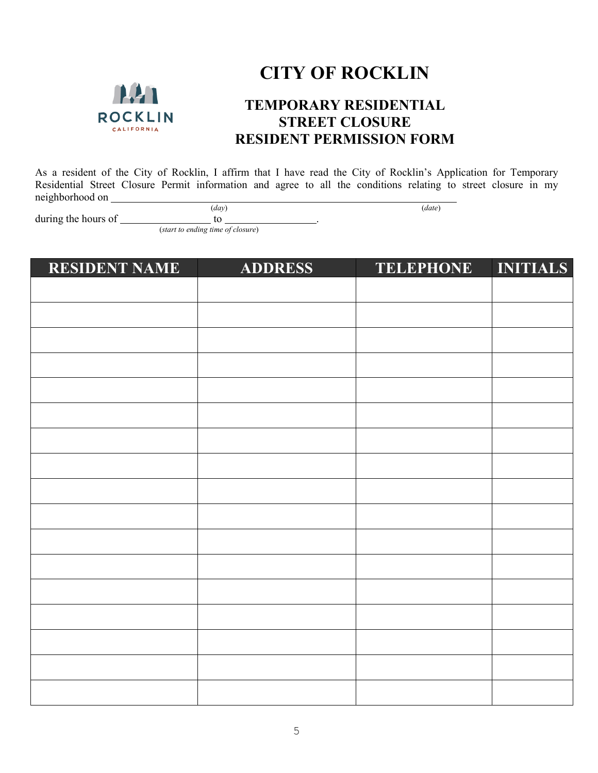

# **CITY OF ROCKLIN**

### **TEMPORARY RESIDENTIAL STREET CLOSURE RESIDENT PERMISSION FORM**

As a resident of the City of Rocklin, I affirm that I have read the City of Rocklin's Application for Temporary Residential Street Closure Permit information and agree to all the conditions relating to street closure in my neighborhood on (*day*) (*date*)

during the hours of  $\qquad \qquad$  to  $\qquad \qquad$ .

(*start to ending time of closure*)

| <b>RESIDENT NAME</b> | <b>ADDRESS</b> | <b>TELEPHONE</b> | <b>INITIALS</b> |
|----------------------|----------------|------------------|-----------------|
|                      |                |                  |                 |
|                      |                |                  |                 |
|                      |                |                  |                 |
|                      |                |                  |                 |
|                      |                |                  |                 |
|                      |                |                  |                 |
|                      |                |                  |                 |
|                      |                |                  |                 |
|                      |                |                  |                 |
|                      |                |                  |                 |
|                      |                |                  |                 |
|                      |                |                  |                 |
|                      |                |                  |                 |
|                      |                |                  |                 |
|                      |                |                  |                 |
|                      |                |                  |                 |
|                      |                |                  |                 |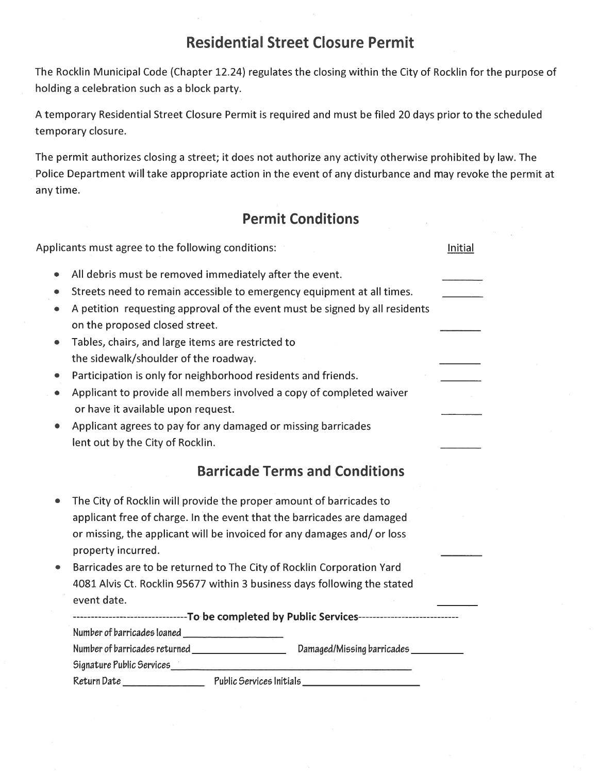## **Residential Street Closure Permit**

The Rocklin Municipal Code (Chapter 12.24) regulates the closing within the City of Rocklin for the purpose of holding a celebration such as a block party.

A temporary Residential Street Closure Permit is required and must be filed 20 days prior to the scheduled temporary closure.

The permit authorizes closing a street; it does not authorize any activity otherwise prohibited by law. The Police Department will take appropriate action in the event of any disturbance and may revoke the permit at any time.

## **Permit Conditions**

|           | Applicants must agree to the following conditions:                                                            | Initial |
|-----------|---------------------------------------------------------------------------------------------------------------|---------|
| $\bullet$ | All debris must be removed immediately after the event.                                                       |         |
| ۰         | Streets need to remain accessible to emergency equipment at all times.                                        |         |
| $\bullet$ | A petition requesting approval of the event must be signed by all residents<br>on the proposed closed street. |         |
| ٠         | Tables, chairs, and large items are restricted to                                                             |         |
|           | the sidewalk/shoulder of the roadway.                                                                         |         |
|           | Participation is only for neighborhood residents and friends.                                                 |         |
| ٠         | Applicant to provide all members involved a copy of completed waiver<br>or have it available upon request.    |         |
|           | Applicant agrees to pay for any damaged or missing barricades                                                 |         |
|           | lent out by the City of Rocklin.                                                                              |         |
|           | <b>Barricade Terms and Conditions</b>                                                                         |         |
|           | The City of Rocklin will provide the proper amount of barricades to                                           |         |
|           | applicant free of charge. In the event that the barricades are damaged                                        |         |
|           | or missing, the applicant will be invoiced for any damages and/ or loss<br>property incurred.                 |         |
|           | Barricades are to be returned to The City of Rocklin Corporation Yard                                         |         |
|           | 4081 Alvis Ct. Rocklin 95677 within 3 business days following the stated                                      |         |
|           | event date.                                                                                                   |         |
|           | -----------------------------To be completed by Public Services----------------------------                   |         |
|           |                                                                                                               |         |
|           | Number of barricades returned _____________________<br>Damaged/Missing barricades                             |         |
|           |                                                                                                               |         |
|           |                                                                                                               |         |
|           |                                                                                                               |         |